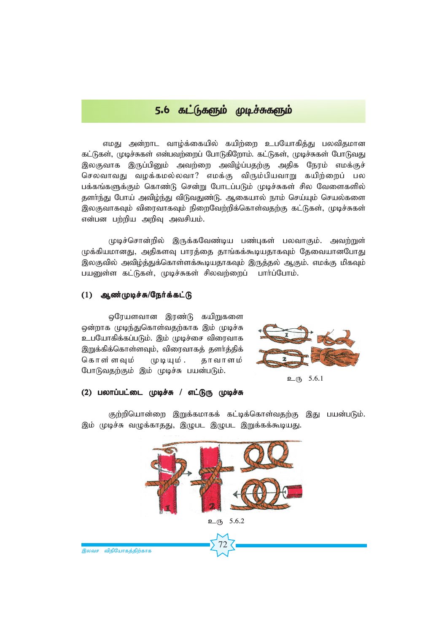# $5.6$   $\delta L(f_1)$ தை முடிச்சுகளும்

எமது அன்றாட வாழ்க்கையில் கயிற்றை உபயோகித்து பலவிதமான கட்டுகள், முடிச்சுகள் என்பவற்றைப் போடுகிறோம். கட்டுகள், முடிச்சுகள் போடுவது இலகுவாக இருப்பினும் அவற்றை அவிழ்ப்பதற்கு அதிக நேரம் எமக்குச் செலவாவது வழக்கமல்லவா? எமக்கு விரும்பியவாறு கயிற்றைப் பல பக்கங்களுக்கும் கொண்டு சென்று போடப்படும் முடிச்சுகள் சில வேளைகளில் தளா்ந்து போய் அவிழ்ந்து விடுவதுண்டு. ஆகையால் நாம் செய்யும் செயல்களை இலகுவாகவும் விரைவாகவும் நிறைவேற்றிக்கொள்வதற்கு கட்டுகள், முடிச்சுகள் என்பன பற்றிய அறிவு அவசியம்.

முடிச்சொன்றில் இருக்கவேண்டிய பண்புகள் பலவாகும். அவற்றுள் முக்கியமானது, அதிகளவு பாரத்தை தாங்கக்கூடியதாகவும் தேவையானபோது*)* இலகுவில் அவிழ்த்துக்கொள்ளக்கூடியதாகவும் இருத்தல் ஆகும். எமக்கு மிகவும் பயனுள்ள கட்டுகள், முடிச்சுகள் சிலவற்றைப் பார்ப்போம்.

#### (1) ஆண்முடிச்சு/நேர்க்கட்டு

ஒரேயளவான இரண்டு கயிறுகளை ஒன்றாக முடிந்துகொள்வதற்காக இம் முடிச்சு உபயோகிக்கப்படும். இம் முடிச்சை விரைவாக இறுக்கிக்கொள்ளவும், விரைவாகத் தளா்த்திக் கொள்ளவும் முடியும். தாவாளம் போடுவதற்கும் இம் முடிச்சு பயன்படும்.



$$
\underline{\mathbf{D}} \quad 5.6.1
$$

## (2) பலாப்பட்டை முடிச்சு / எட்டுரு முடிச்சு

குற்றியொன்றை இறுக்கமாகக் கட்டிக்கொள்வதற்கு இது பயன்படும். இம் முடிச்சு வழுக்காதது, இழுபட இழுபட இறுக்கக்கூடியது.